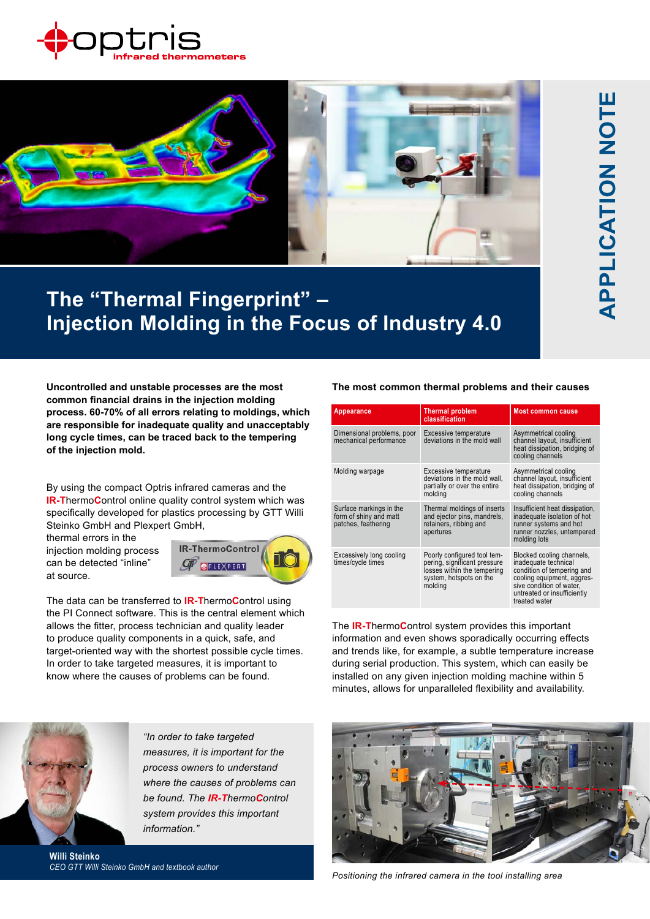



## **The "Thermal Fingerprint" – Injection Molding in the Focus of Industry 4.0**

**Uncontrolled and unstable processes are the most common financial drains in the injection molding process. 60-70% of all errors relating to moldings, which are responsible for inadequate quality and unacceptably long cycle times, can be traced back to the tempering of the injection mold.**

By using the compact Optris infrared cameras and the **IR-T**hermo**C**ontrol online quality control system which was specifically developed for plastics processing by GTT Willi Steinko GmbH and Plexpert GmbH,

thermal errors in the injection molding process can be detected "inline" at source.



The data can be transferred to **IR-T**hermo**C**ontrol using the PI Connect software. This is the central element which allows the fitter, process technician and quality leader to produce quality components in a quick, safe, and target-oriented way with the shortest possible cycle times. In order to take targeted measures, it is important to know where the causes of problems can be found.

## **The most common thermal problems and their causes**

| <b>Appearance</b>                                                        | <b>Thermal problem</b><br>classification                                                                                         | <b>Most common cause</b>                                                                                                                                                                  |
|--------------------------------------------------------------------------|----------------------------------------------------------------------------------------------------------------------------------|-------------------------------------------------------------------------------------------------------------------------------------------------------------------------------------------|
| Dimensional problems, poor<br>mechanical performance                     | Excessive temperature<br>deviations in the mold wall                                                                             | Asymmetrical cooling<br>channel layout, insufficient<br>heat dissipation, bridging of<br>cooling channels                                                                                 |
| Molding warpage                                                          | Excessive temperature<br>deviations in the mold wall,<br>partially or over the entire<br>molding                                 | Asymmetrical cooling<br>channel layout, insufficient<br>heat dissipation, bridging of<br>cooling channels                                                                                 |
| Surface markings in the<br>form of shiny and matt<br>patches, feathering | Thermal moldings of inserts<br>and ejector pins, mandrels,<br>retainers, ribbing and<br>apertures                                | Insufficient heat dissipation,<br>inadequate isolation of hot<br>runner systems and hot<br>runner nozzles, untempered<br>molding lots                                                     |
| Excessively long cooling<br>times/cycle times                            | Poorly configured tool tem-<br>pering, significant pressure<br>losses within the tempering<br>system, hotspots on the<br>molding | Blocked cooling channels,<br>inadequate technical<br>condition of tempering and<br>cooling equipment, aggres-<br>sive condition of water,<br>untreated or insufficiently<br>treated water |

The **IR-T**hermo**C**ontrol system provides this important information and even shows sporadically occurring effects and trends like, for example, a subtle temperature increase during serial production. This system, which can easily be installed on any given injection molding machine within 5 minutes, allows for unparalleled flexibility and availability.



*"In order to take targeted measures, it is important for the process owners to understand where the causes of problems can be found. The IR-ThermoControl system provides this important information."*

**Willi Steinko** *CEO GTT Willi Steinko GmbH and textbook author*



*Positioning the infrared camera in the tool installing area*